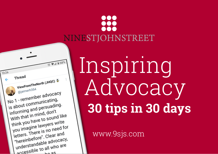

# Inspiring Advocacy **30 tips in 30 days**

www.9sjs.com

888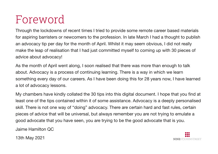### Foreword

Through the lockdowns of recent times I tried to provide some remote career based materials for aspiring barristers or newcomers to the profession. In late March I had a thought to publish an advocacy tip per day for the month of April. Whilst it may seem obvious, I did not really make the leap of realisation that I had just committed myself to coming up with 30 pieces of advice about advocacy!

As the month of April went along, I soon realised that there was more than enough to talk about. Advocacy is a process of continuing learning. There is a way in which we learn something every day of our careers. As I have been doing this for 28 years now, I have learned a lot of advocacy lessons.

My chambers have kindly collated the 30 tips into this digital document. I hope that you find at least one of the tips contained within it of some assistance. Advocacy is a deeply personalised skill. There is not one way of "doing" advocacy. There are certain hard and fast rules, certain pieces of advice that will be universal, but always remember you are not trying to emulate a good advocate that you have seen, you are trying to be the good advocate that is you.

Jaime Hamilton QC

13th May 2021

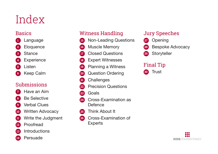## Index

#### **Basics**



[Keep Calm](#page-8-0)

#### **Submissions**



- [Have an Aim](#page-9-0)
- [Be Selective](#page-10-0)
- [Verbal Clues](#page-11-0)
- [Written Advocacy](#page-12-0)
- [Write the Judgment](#page-13-0)
- [Proofread](#page-14-0)
- [Introductions](#page-15-0)
- [Persuade](#page-16-0)

#### Witness Handling

- [Non-Leading Questions](#page-17-0)
- [Muscle Memory](#page-18-0)
- [Closed Questions](#page-19-0)
- [Expert Witnesses](#page-20-0)
- [Planning a Witness](#page-21-0)
- [Question Ordering](#page-22-0)
- [Challenges](#page-23-0)
	- [Precision Questions](#page-24-0)
- [Goals](#page-25-0)
- [Cross-Examination as](#page-26-0)  **[Defence](#page-26-0)**
- [Think About It](#page-27-0)
- [Cross-Examination of](#page-28-0)  [Experts](#page-28-0)

#### Jury Speeches

- [Opening](#page-29-0)
- [Bespoke Advocacy](#page-30-0)
- [Storyteller](#page-31-0)

#### Final Tip

[Trust](#page-32-0)

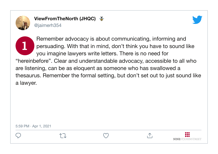<span id="page-3-0"></span>



**1** Remember advocacy is about communicating, informing and persuading. With that in mind, don't think you have to sound like you imagine lawyers write letters. There is no need for "hereinbefore". Clear and understandable advocacy, accessible to all who are listening, can be as eloquent as someone who has swallowed a thesaurus. Remember the formal setting, but don't set out to just sound like a lawyer.

5:59 PM · Apr 1, 2021







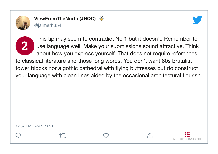<span id="page-4-0"></span>

↑ヿ



**NINESTJOHNSTREET** 

This tip may seem to contradict No 1 but it doesn't. Remember to use language well. Make your submissions sound attractive. Think use language well. Make your submissions sound attractive. Think about how you express yourself. That does not require references to classical literature and those long words. You don't want 60s brutalist tower blocks nor a gothic cathedral with flying buttresses but do construct your language with clean lines aided by the occasional architectural flourish.

 $\Lambda$ 

12:57 PM · Apr 2, 2021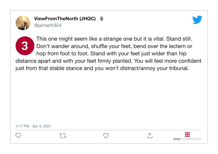<span id="page-5-0"></span>

ViewFromTheNorth (JHQC) @jaimerh354



This one might seem like a strange one but it is vital. Stand still.<br>Don't wander around, shuffle your feet, bend over the lectern or Don't wander around, shuffle your feet, bend over the lectern or hop from foot to foot. Stand with your feet just wider than hip distance apart and with your feet firmly planted. You will feel more confident just from that stable stance and you won't distract/annoy your tribunal.

4:17 PM · Apr 3, 2021



イコ



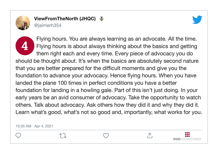<span id="page-6-0"></span>

ViewFromTheNorth (JHQC)

@jaimerh354



Flying hours. You are always learning as an advocate. All the time.<br>Flying hours is about always thinking about the basics and getting Flying hours is about always thinking about the basics and getting them right each and every time. Every piece of advocacy you do should be thought about. It's when the basics are absolutely second nature that you are better prepared for the difficult moments and give you the foundation to advance your advocacy. Hence flying hours. When you have landed the plane 100 times in perfect conditions you have a better foundation for landing in a howling gale. Part of this isn't just doing. In your early years be an avid consumer of advocacy. Take the opportunity to watch others. Talk about advocacy. Ask others how they did it and why they did it. Learn what's good, what's not so good and, importantly, what works for you.

10:35 AM · Apr 4, 2021







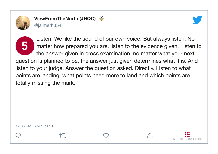<span id="page-7-0"></span>



**NINESTJOHNSTREET** 

Listen. We like the sound of our own voice. But always listen. No<br>matter how prepared you are, listen to the evidence given. Listen matter how prepared you are, listen to the evidence given. Listen to the answer given in cross examination, no matter what your next question is planned to be, the answer just given determines what it is. And listen to your judge. Answer the question asked. Directly. Listen to what points are landing, what points need more to land and which points are totally missing the mark.

12:05 PM · Apr 5, 2021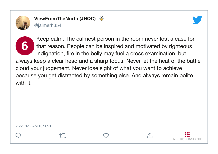<span id="page-8-0"></span>

ViewFromTheNorth (JHQC) @jaimerh354



**6** Keep calm. The calmest person in the room never lost a case for that reason. People can be inspired and motivated by righteous indignation, fire in the belly may fuel a cross examination, but always keep a clear head and a sharp focus. Never let the heat of the battle cloud your judgement. Never lose sight of what you want to achieve because you get distracted by something else. And always remain polite with it.

2:22 PM · Apr 6, 2021







**NINESTJOHNSTREET**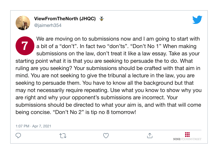<span id="page-9-0"></span>



We are moving on to submissions now and I am going to start with<br>a bit of a "don't". In fact two "don'ts". "Don't No 1" When making<br>nothing into a law doubt turn it like a law assess Take as users a bit of a "don't". In fact two "don'ts". "Don't No 1" When making submissions on the law, don't treat it like a law essay. Take as your starting point what it is that you are seeking to persuade the to do. What ruling are you seeking? Your submissions should be crafted with that aim in mind. You are not seeking to give the tribunal a lecture in the law, you are seeking to persuade them. You have to know all the background but that may not necessarily require repeating. Use what you know to show why you are right and why your opponent's submissions are incorrect. Your submissions should be directed to what your aim is, and with that will come being concise. "Don't No 2" is tip no 8 tomorrow!

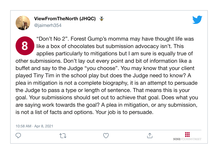<span id="page-10-0"></span>

ViewFromTheNorth (JHQC) @jaimerh354



"Don't No 2". Forest Gump's momma may have thought life was<br>like a box of chocolates but submission advocacy isn't. This like a box of chocolates but submission advocacy isn't. This applies particularly to mitigations but I am sure is equally true of other submissions. Don't lay out every point and bit of information like a buffet and say to the Judge "you choose". You may know that your client played Tiny Tim in the school play but does the Judge need to know? A plea in mitigation is not a complete biography, it is an attempt to persuade the Judge to pass a type or length of sentence. That means this is your goal. Your submissions should set out to achieve that goal. Does what you are saying work towards the goal? A plea in mitigation, or any submission, is not a list of facts and options. Your job is to persuade.

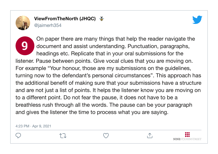<span id="page-11-0"></span>



**9** On paper there are many things that help the reader navigate the document and assist understanding. Punctuation, paragraphs, headings etc. Replicate that in your oral submissions for the listener. Pause between points. Give vocal clues that you are moving on. For example "Your honour, those are my submissions on the guidelines, turning now to the defendant's personal circumstances". This approach has the additional benefit of making sure that your submissions have a structure and are not just a list of points. It helps the listener know you are moving on to a different point. Do not fear the pause, it does not have to be a breathless rush through all the words. The pause can be your paragraph and gives the listener the time to process what you are saying.

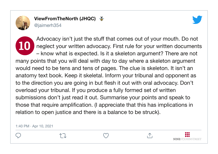<span id="page-12-0"></span>



Advocacy isn't just the stuff that comes out of your mouth. Do not<br>neglect your written advocacy. First rule for your written document neglect your written advocacy. First rule for your written documents – know what is expected. Is it a skeleton argument? There are not many points that you will deal with day to day where a skeleton argument would need to be tens and tens of pages. The clue is skeleton. It isn't an anatomy text book. Keep it skeletal. Inform your tribunal and opponent as to the direction you are going in but flesh it out with oral advocacy. Don't overload your tribunal. If you produce a fully formed set of written submissions don't just read it out. Summarise your points and speak to those that require amplification. (I appreciate that this has implications in relation to open justice and there is a balance to be struck).

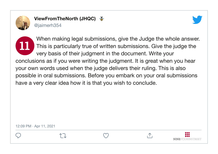<span id="page-13-0"></span>



**NINESTIOHNSTREET** 

**11** When making legal submissions, give the Judge the whole answer. This is particularly true of written submissions. Give the judge the very basis of their judgment in the document. Write your conclusions as if you were writing the judgment. It is great when you hear your own words used when the judge delivers their ruling. This is also possible in oral submissions. Before you embark on your oral submissions have a very clear idea how it is that you wish to conclude.

12:09 PM · Apr 11, 2021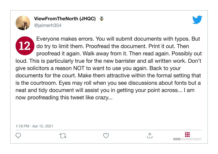<span id="page-14-0"></span>



**NINESTIOHNSTREET** 

**12** Everyone makes errors. You will submit documents with typos. But do try to limit them. Proofread the document. Print it out. Then proofread it again. Walk away from it. Then read again. Possibly out loud. This is particularly true for the new barrister and all written work. Don't give solicitors a reason NOT to want to use you again. Back to your documents for the court. Make them attractive within the formal setting that is the courtroom. Eyes may roll when you see discussions about fonts but a neat and tidy document will assist you in getting your point across... I am now proofreading this tweet like crazy...

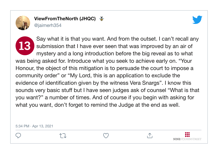<span id="page-15-0"></span>



Say what it is that you want. And from the outset. I can't recall any submission that I have ever seen that was improved by an air of submission that I have ever seen that was improved by an air of mystery and a long introduction before the big reveal as to what was being asked for. Introduce what you seek to achieve early on. "Your Honour, the object of this mitigation is to persuade the court to impose a community order" or "My Lord, this is an application to exclude the evidence of identification given by the witness Vera Snargs". I know this sounds very basic stuff but I have seen judges ask of counsel "What is that you want?" a number of times. And of course if you begin with asking for what you want, don't forget to remind the Judge at the end as well.

5:34 PM · Apr 13, 2021







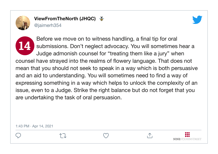<span id="page-16-0"></span>



Before we move on to witness handling, a final tip for oral<br>submissions. Don't neglect advocacy. You will sometimes submissions. Don't neglect advocacy. You will sometimes hear a Judge admonish counsel for "treating them like a jury" when counsel have strayed into the realms of flowery language. That does not mean that you should not seek to speak in a way which is both persuasive and an aid to understanding. You will sometimes need to find a way of expressing something in a way which helps to unlock the complexity of an issue, even to a Judge. Strike the right balance but do not forget that you are undertaking the task of oral persuasion.

1:43 PM · Apr 14, 2021





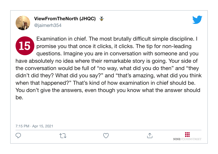<span id="page-17-0"></span>



**15** Examination in chief. The most brutally difficult simple discipline. I promise you that once it clicks, it clicks. The tip for non-leading questions. Imagine you are in conversation with someone and you have absolutely no idea where their remarkable story is going. Your side of the conversation would be full of "no way, what did you do then" and "they didn't did they? What did you say?" and "that's amazing, what did you think when that happened?" That's kind of how examination in chief should be. You don't give the answers, even though you know what the answer should be.

7:15 PM · Apr 15, 2021





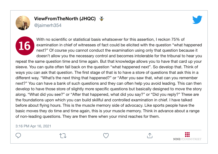<span id="page-18-0"></span>

### ViewFromTheNorth (JHQC)



@jaimerh354

**16** With no scientific or statistical basis whatsoever for this assertion. I reckon 75% of examination in chief of witnesses of fact could be elicited with the question "what happened next?" Of course you cannot conduct the examination using only that question because it doesn't allow you the necessary control and becomes intolerable for the tribunal to hear you repeat the same question time and time again. But that knowledge allows you to have that card up your sleeve. You can quite often fall back on the question "what happened next". So develop that. Think of ways you can ask that question. The first stage of that is to have a store of questions that ask this in a different way. "What's the next thing that happened?" or "After you saw that, what can you remember next?" You can have a bank of such questions and they can often help you avoid leading. This can then develop to have those store of slightly more specific questions but basically designed to move the story along. "What did you see?" or "After that happened, what did you say?" or "Did you reply?" These are the foundations upon which you can build skillful and controlled examination in chief. I have talked before about flying hours. This is the muscle memory side of advocacy. Like sports people have the basic moves they do time and time again, this is your muscle memory. Think in advance about a range of non-leading questions. They are then there when your mind reaches for them.

#### 3:16 PM Apr 16, 2021







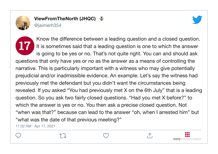<span id="page-19-0"></span>



Know the difference between a leading question and a closed question.<br>It is sometimes said that a leading question is one to which the answer It is sometimes said that a leading question is one to which the answer is going to be yes or no. That's not quite right. You can and should ask questions that only have yes or no as the answer as a means of controlling the narrative. This is particularly important with a witness who may give potentially prejudicial and/or inadmissible evidence. An example. Let's say the witness had previously met the defendant but you didn't want the circumstances being revealed. If you asked "You had previously met X on the 6th July" that is a leading question. So you ask two fairly closed questions. "Had you met X before?" to which the answer is yes or no. You then ask a precise closed question. Not "when was that?" because can lead to the answer "oh, when I arrested him" but "what was the date of that previous meeting?"

11:32 AM · Apr 17, 2021

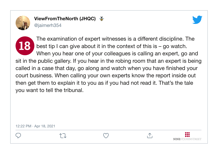<span id="page-20-0"></span>



The examination of expert witnesses is a different discipline. The<br>best tip I can give about it in the context of this is – go watch. best tip I can give about it in the context of this is – go watch. When you hear one of your colleagues is calling an expert, go and sit in the public gallery. If you hear in the robing room that an expert is being called in a case that day, go along and watch when you have finished your court business. When calling your own experts know the report inside out then get them to explain it to you as if you had not read it. That's the tale you want to tell the tribunal.

12:22 PM · Apr 18, 2021



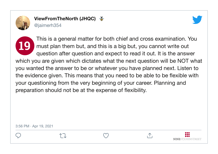<span id="page-21-0"></span>



This is a general matter for both chief and cross examination. You<br>must plan them but, and this is a big but, you cannot write out must plan them but, and this is a big but, you cannot write out question after question and expect to read it out. It is the answer which you are given which dictates what the next question will be NOT what you wanted the answer to be or whatever you have planned next. Listen to the evidence given. This means that you need to be able to be flexible with your questioning from the very beginning of your career. Planning and preparation should not be at the expense of flexibility.



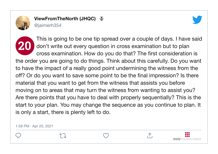<span id="page-22-0"></span>



**20** This is going to be one tip spread over a couple of days. I have said don't write out every question in cross examination but to plan cross examination. How do you do that? The first consideration is the order you are going to do things. Think about this carefully. Do you want to have the impact of a really good point undermining the witness from the off? Or do you want to save some point to be the final impression? Is there material that you want to get from the witness that assists you before moving on to areas that may turn the witness from wanting to assist you? Are there points that you have to deal with properly sequentially? This is the start to your plan. You may change the sequence as you continue to plan. It is only a start, there is plenty left to do.

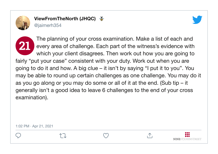<span id="page-23-0"></span>

ViewFromTheNorth (JHQC)  $\frac{25}{3}$ 

@jaimerh354



**NINESTIOHNSTREET** 

The planning of your cross examination. Make a list of each and<br>every area of challenge. Each part of the witness's evidence with every area of challenge. Each part of the witness's evidence with which your client disagrees. Then work out how you are going to fairly "put your case" consistent with your duty. Work out when you are going to do it and how. A big clue – it isn't by saying "I put it to you". You may be able to round up certain challenges as one challenge. You may do it as you go along or you may do some or all of it at the end. (Sub tip – it generally isn't a good idea to leave 6 challenges to the end of your cross examination).

1:02 PM · Apr 21, 2021

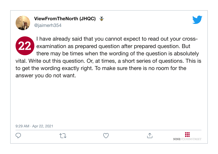<span id="page-24-0"></span>

ViewFromTheNorth (JHQC) @jaimerh354





**22** I have already said that you cannot expect to read out your crossexamination as prepared question after prepared question. But there may be times when the wording of the question is absolutely vital. Write out this question. Or, at times, a short series of questions. This is to get the wording exactly right. To make sure there is no room for the answer you do not want.

9:29 AM · Apr 22, 2021







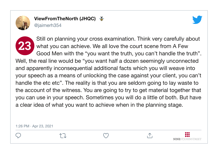<span id="page-25-0"></span>



Still on planning your cross examination. Think very carefully about<br>what you can achieve. We all love the court scene from A Few<br>and handle that the function with the function of the second handle the turth" what you can achieve. We all love the court scene from A Few Good Men with the "you want the truth, you can't handle the truth". Well, the real line would be "you want half a dozen seemingly unconnected and apparently inconsequential additional facts which you will weave into your speech as a means of unlocking the case against your client, you can't handle the etc etc". The reality is that you are seldom going to lay waste to the account of the witness. You are going to try to get material together that you can use in your speech. Sometimes you will do a little of both. But have a clear idea of what you want to achieve when in the planning stage.









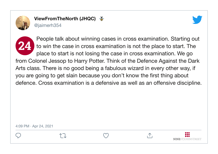<span id="page-26-0"></span>



People talk about winning cases in cross examination. Starting out<br>to win the case in cross examination is not the place to start. The to win the case in cross examination is not the place to start. The place to start is not losing the case in cross examination. We go from Colonel Jessop to Harry Potter. Think of the Defence Against the Dark Arts class. There is no good being a fabulous wizard in every other way, if you are going to get slain because you don't know the first thing about defence. Cross examination is a defensive as well as an offensive discipline.

4:09 PM · Apr 24, 2021



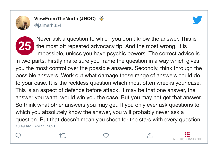<span id="page-27-0"></span>

ViewFromTheNorth (JHQC) @jaimerh354



10:49 AM · Apr 25, 2021 Never ask a question to which you don't know the answer. This is<br>the most oft repeated advocacy tip. And the most wrong. It is the most oft repeated advocacy tip. And the most wrong. It is impossible, unless you have psychic powers. The correct advice is in two parts. Firstly make sure you frame the question in a way which gives you the most control over the possible answers. Secondly, think through the possible answers. Work out what damage those range of answers could do to your case. It is the reckless question which most often wrecks your case. This is an aspect of defence before attack. It may be that one answer, the answer you want, would win you the case. But you may not get that answer. So think what other answers you may get. If you only ever ask questions to which you absolutely know the answer, you will probably never ask a question. But that doesn't mean you shoot for the stars with every question.

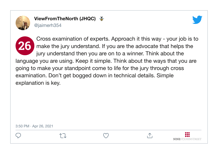<span id="page-28-0"></span>



**26** Cross examination of experts. Approach it this way - your job is to make the jury understand. If you are the advocate that helps the jury understand then you are on to a winner. Think about the language you are using. Keep it simple. Think about the ways that you are going to make your standpoint come to life for the jury through cross examination. Don't get bogged down in technical details. Simple explanation is key.

3:50 PM · Apr 26, 2021





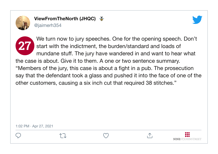<span id="page-29-0"></span>



**27** We turn now to jury speeches. One for the opening speech. Don't start with the indictment, the burden/standard and loads of mundane stuff. The jury have wandered in and want to hear what the case is about. Give it to them. A one or two sentence summary. "Members of the jury, this case is about a fight in a pub. The prosecution say that the defendant took a glass and pushed it into the face of one of the other customers, causing a six inch cut that required 38 stitches."

1:02 PM · Apr 27, 2021



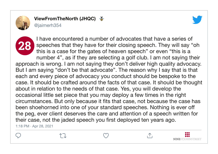<span id="page-30-0"></span>

ViewFromTheNorth (JHQC)



@jaimerh354

**28** I have encountered a number of advocates that have a series of speeches that they have for their closing speech. They will say "oh this is a case for the gates of heaven speech" or even "this is a number 4", as if they are selecting a golf club. I am not saying their approach is wrong. I am not saying they don't deliver high quality advocacy. But I am saying "don't be that advocate". The reason why I say that is that each and every piece of advocacy you conduct should be bespoke to the case. It should be crafted around the facts of that case. It should be thought about in relation to the needs of that case. Yes, you will develop the occasional little set piece that you may deploy a few times in the right circumstances. But only because it fits that case, not because the case has been shoehorned into one of your standard speeches. Nothing is ever off the peg, ever client deserves the care and attention of a speech written for their case, not the jaded speech you first deployed ten years ago.

1:18 PM · Apr 28, 2021

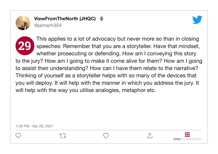<span id="page-31-0"></span>



**29** This applies to a lot of advocacy but never more so than in closing speeches: Remember that you are a storyteller. Have that mindset, whether prosecuting or defending. How am I conveying this story to the jury? How am I going to make it come alive for them? How am I going to assist their understanding? How can I have them relate to the narrative? Thinking of yourself as a storyteller helps with so many of the devices that you will deploy. It will help with the manner in which you address the jury. It will help with the way you utilise analogies, metaphor etc.